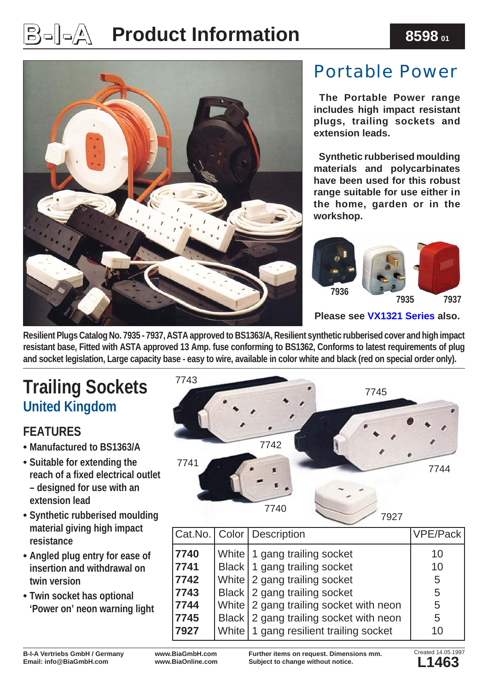# $\mathbb{B}$ ം $\Box$   $\Box$  Product Information 8598 ബ



### Portable Power

 **The Portable Power range includes high impact resistant plugs, trailing sockets and extension leads.**

 **Synthetic rubberised moulding materials and polycarbinates have been used for this robust range suitable for use either in the home, garden or in the workshop.**



#### **Please see [VX1321 Series](http://www.biagmbh.com/cgi-local/biastock/search.cgi?StockCheck=8598&cat=VX1321) also.**

**Resilient Plugs Catalog No. 7935 - 7937, ASTA approved to BS1363/A, Resilient synthetic rubberised cover and high impact resistant base, Fitted with ASTA approved 13 Amp. fuse conforming to BS1362, Conforms to latest requirements of plug and socket legislation, Large capacity base - easy to wire, available in color white and black (red on special order only).**

## <sup>7743</sup> **Trailing Sockets United Kingdom**

#### **FEATURES**

- **• Manufactured to BS1363/A**
- **• Suitable for extending the reach of a fi xed electrical outlet – designed for use with an extension lead**
- **• Synthetic rubberised moulding material giving high impact resistance**
- **• Angled plug entry for ease of insertion and withdrawal on twin version**
- **• Twin socket has optional 'Power on' neon warning light**



|      | Cat.No.   Color   Description            | <b>VPE/Pack</b> |
|------|------------------------------------------|-----------------|
| 7740 | White   1 gang trailing socket           | 10              |
| 7741 | Black   1 gang trailing socket           | 10              |
| 7742 | White 2 gang trailing socket             | 5               |
| 7743 | Black 2 gang trailing socket             | 5               |
| 7744 | White 2 gang trailing socket with neon   | 5               |
| 7745 | Black 2 gang trailing socket with neon   | 5               |
| 7927 | White   1 gang resilient trailing socket | 10              |

**B-I-A Vertriebs GmbH / Germany Email: info@BiaGmbH.com**

**www.BiaGmbH.com www.BiaOnline.com**

**Further items on request. Dimensions mm. Subject to change without notice.**